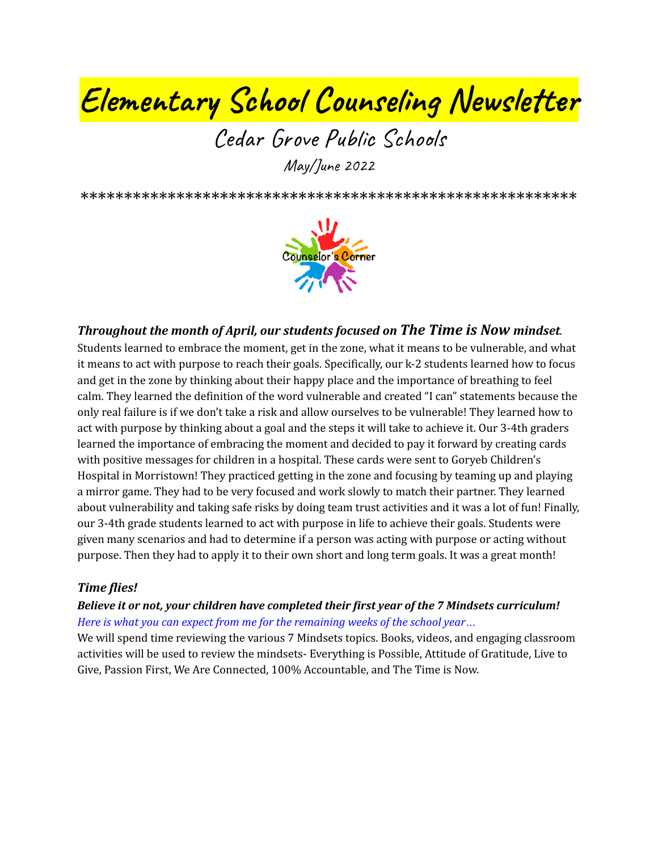# **Elementary School Counseling Newsletter**

## Cedar Grove Public Schools May/June 2022

\*\*\*\*\*\*\*\*\*\*\*\*\*\*\*\*\*\*\*\*\*\*\*\*\*\*\*\*\*\*\*\*\*\*\*\*\*\*\*\*\*\*\*\*\*\*\*\*\*\*\*\*\*\*\*\*\*



### *Throughout the month of April, our students focused on The Time is Now mindset.*

Students learned to embrace the moment, get in the zone, what it means to be vulnerable, and what it means to act with purpose to reach their goals. Specifically, our k-2 students learned how to focus and get in the zone by thinking about their happy place and the importance of breathing to feel calm. They learned the definition of the word vulnerable and created "I can" statements because the only real failure is if we don't take a risk and allow ourselves to be vulnerable! They learned how to act with purpose by thinking about a goal and the steps it will take to achieve it. Our 3-4th graders learned the importance of embracing the moment and decided to pay it forward by creating cards with positive messages for children in a hospital. These cards were sent to Goryeb Children's Hospital in Morristown! They practiced getting in the zone and focusing by teaming up and playing a mirror game. They had to be very focused and work slowly to match their partner. They learned about vulnerability and taking safe risks by doing team trust activities and it was a lot of fun! Finally, our 3-4th grade students learned to act with purpose in life to achieve their goals. Students were given many scenarios and had to determine if a person was acting with purpose or acting without purpose. Then they had to apply it to their own short and long term goals. It was a great month!

#### *Time flies!*

#### *Believe it or not, your children have completed their first year of the 7 Mindsets curriculum! Here is what you can expect from me for the remaining weeks of the school year…*

We will spend time reviewing the various 7 Mindsets topics. Books, videos, and engaging classroom activities will be used to review the mindsets- Everything is Possible, Attitude of Gratitude, Live to Give, Passion First, We Are Connected, 100% Accountable, and The Time is Now.